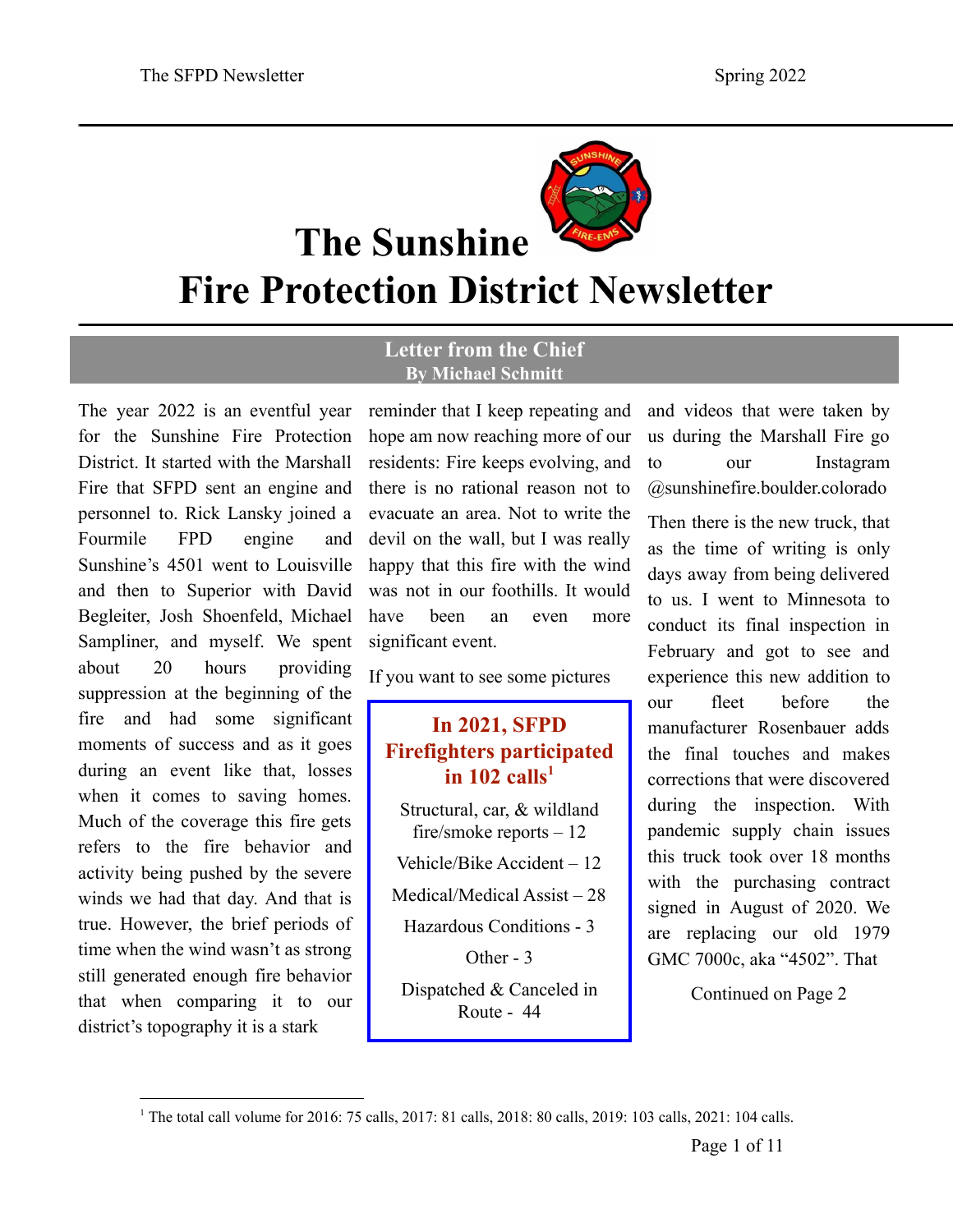

**The Sunshine**

**Fire Protection District Newsletter**

#### **Letter from the Chief By Michael Schmitt**

The year 2022 is an eventful year for the Sunshine Fire Protection District. It started with the Marshall Fire that SFPD sent an engine and personnel to. Rick Lansky joined a Fourmile FPD engine and Sunshine's 4501 went to Louisville and then to Superior with David Begleiter, Josh Shoenfeld, Michael Sampliner, and myself. We spent about 20 hours providing suppression at the beginning of the fire and had some significant moments of success and as it goes during an event like that, losses when it comes to saving homes. Much of the coverage this fire gets refers to the fire behavior and activity being pushed by the severe winds we had that day. And that is true. However, the brief periods of time when the wind wasn't as strong still generated enough fire behavior that when comparing it to our district's topography it is a stark

reminder that I keep repeating and hope am now reaching more of our residents: Fire keeps evolving, and there is no rational reason not to evacuate an area. Not to write the devil on the wall, but I was really happy that this fire with the wind was not in our foothills. It would have been an even more significant event.

If you want to see some pictures

## **In 2021, SFPD Firefighters participated in 102 calls 1**

Structural, car, & wildland fire/smoke reports – 12 Vehicle/Bike Accident – 12 Medical/Medical Assist – 28 Hazardous Conditions - 3 Other - 3

Dispatched & Canceled in Route - 44

and videos that were taken by us during the Marshall Fire go to our Instagram @sunshinefire.boulder.colorado

Then there is the new truck, that as the time of writing is only days away from being delivered to us. I went to Minnesota to conduct its final inspection in February and got to see and experience this new addition to our fleet before the manufacturer Rosenbauer adds the final touches and makes corrections that were discovered during the inspection. With pandemic supply chain issues this truck took over 18 months with the purchasing contract signed in August of 2020. We are replacing our old 1979 GMC 7000c, aka "4502". That

<sup>1</sup> The total call volume for 2016: 75 calls, 2017: 81 calls, 2018: 80 calls, 2019: 103 calls, 2021: 104 calls.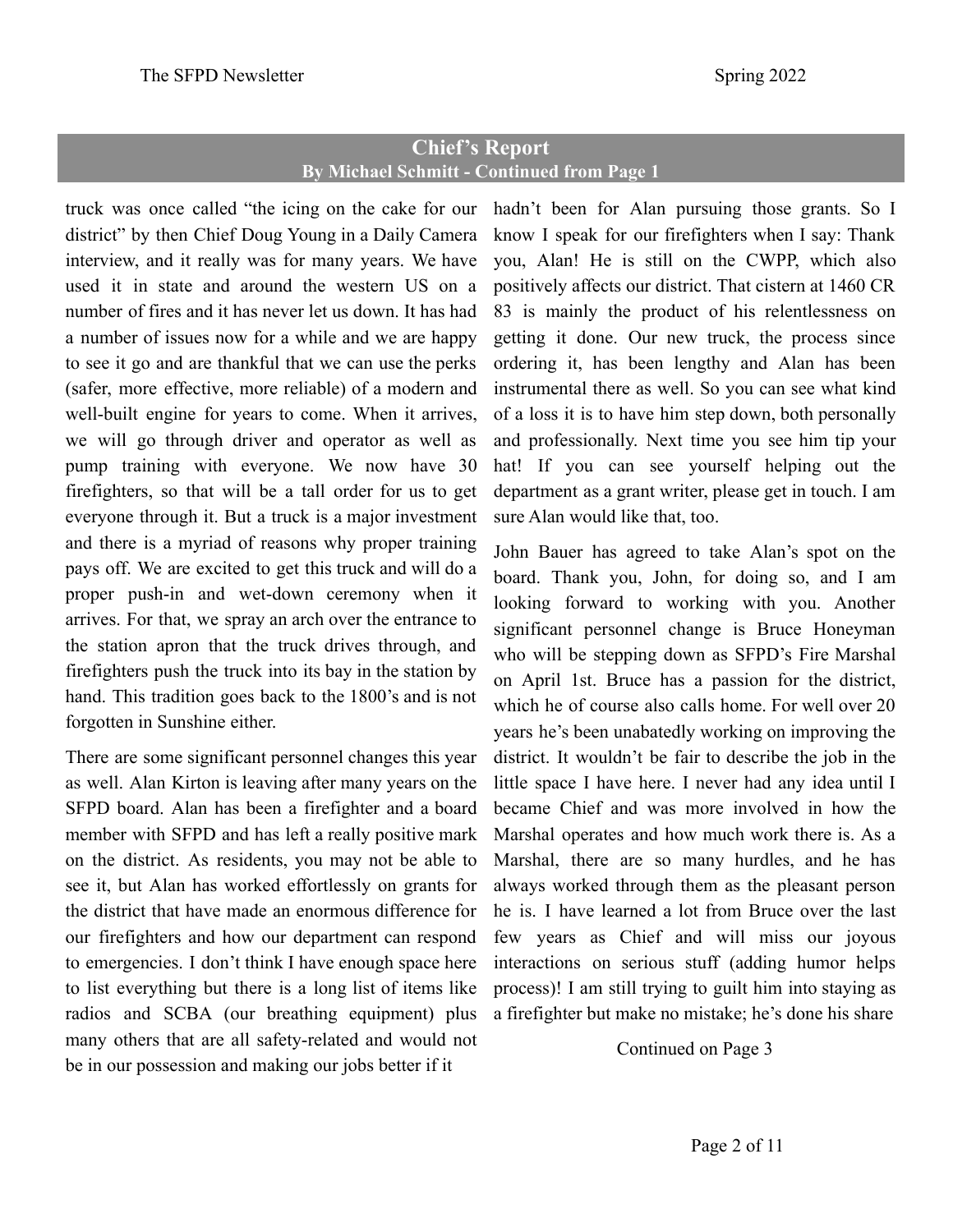## **Chief's Report By Michael Schmitt - Continued from Page 1**

truck was once called "the icing on the cake for our district" by then Chief Doug Young in a Daily Camera interview, and it really was for many years. We have used it in state and around the western US on a number of fires and it has never let us down. It has had a number of issues now for a while and we are happy to see it go and are thankful that we can use the perks (safer, more effective, more reliable) of a modern and well-built engine for years to come. When it arrives, we will go through driver and operator as well as pump training with everyone. We now have 30 firefighters, so that will be a tall order for us to get everyone through it. But a truck is a major investment and there is a myriad of reasons why proper training pays off. We are excited to get this truck and will do a proper push-in and wet-down ceremony when it arrives. For that, we spray an arch over the entrance to the station apron that the truck drives through, and firefighters push the truck into its bay in the station by hand. This tradition goes back to the 1800's and is not forgotten in Sunshine either.

There are some significant personnel changes this year as well. Alan Kirton is leaving after many years on the SFPD board. Alan has been a firefighter and a board member with SFPD and has left a really positive mark on the district. As residents, you may not be able to see it, but Alan has worked effortlessly on grants for the district that have made an enormous difference for our firefighters and how our department can respond to emergencies. I don't think I have enough space here to list everything but there is a long list of items like radios and SCBA (our breathing equipment) plus many others that are all safety-related and would not be in our possession and making our jobs better if it

hadn't been for Alan pursuing those grants. So I know I speak for our firefighters when I say: Thank you, Alan! He is still on the CWPP, which also positively affects our district. That cistern at 1460 CR 83 is mainly the product of his relentlessness on getting it done. Our new truck, the process since ordering it, has been lengthy and Alan has been instrumental there as well. So you can see what kind of a loss it is to have him step down, both personally and professionally. Next time you see him tip your hat! If you can see yourself helping out the department as a grant writer, please get in touch. I am sure Alan would like that, too.

John Bauer has agreed to take Alan's spot on the board. Thank you, John, for doing so, and I am looking forward to working with you. Another significant personnel change is Bruce Honeyman who will be stepping down as SFPD's Fire Marshal on April 1st. Bruce has a passion for the district, which he of course also calls home. For well over 20 years he's been unabatedly working on improving the district. It wouldn't be fair to describe the job in the little space I have here. I never had any idea until I became Chief and was more involved in how the Marshal operates and how much work there is. As a Marshal, there are so many hurdles, and he has always worked through them as the pleasant person he is. I have learned a lot from Bruce over the last few years as Chief and will miss our joyous interactions on serious stuff (adding humor helps process)! I am still trying to guilt him into staying as a firefighter but make no mistake; he's done his share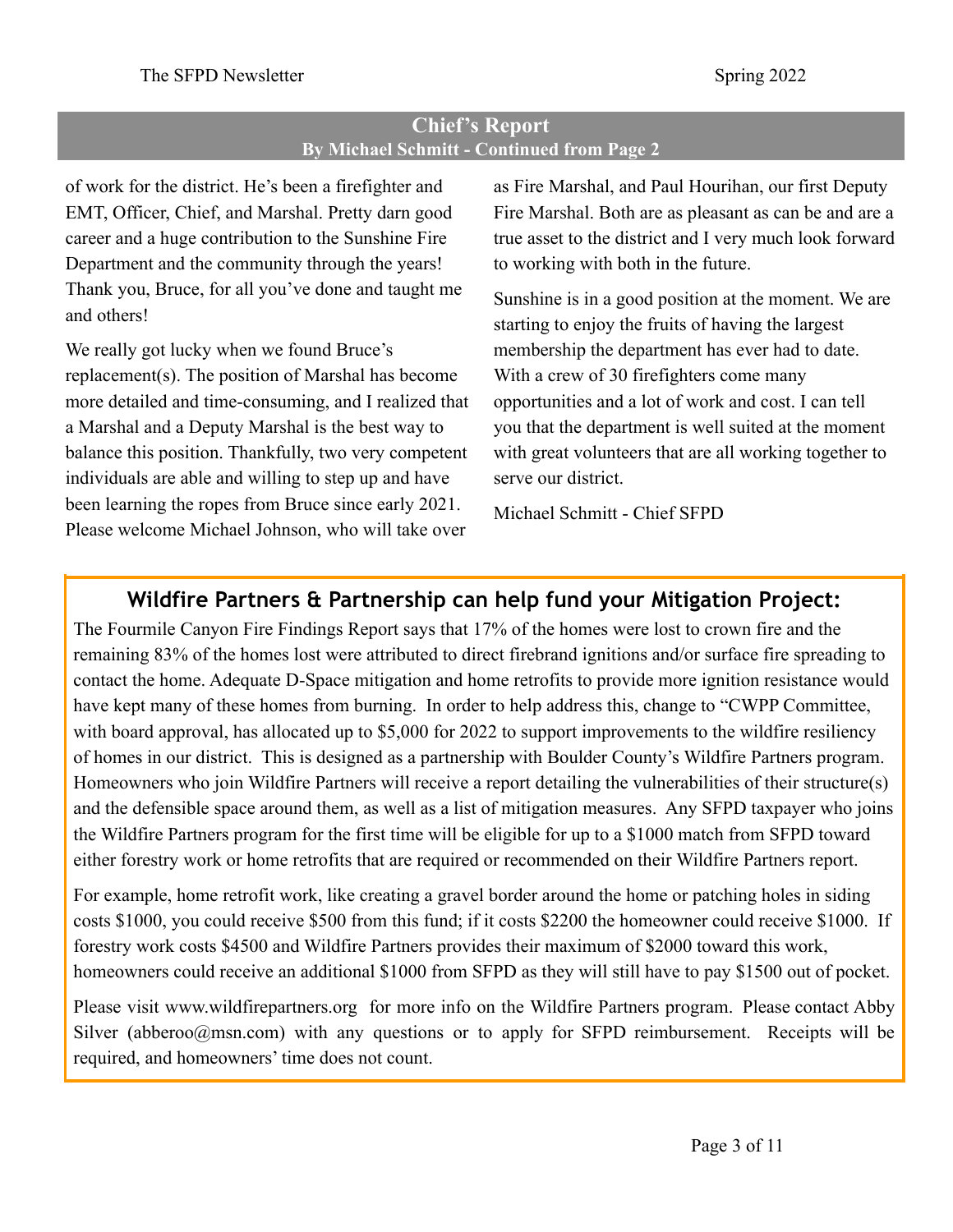## **Chief's Report By Michael Schmitt - Continued from Page 2**

of work for the district. He's been a firefighter and EMT, Officer, Chief, and Marshal. Pretty darn good career and a huge contribution to the Sunshine Fire Department and the community through the years! Thank you, Bruce, for all you've done and taught me and others!

We really got lucky when we found Bruce's replacement(s). The position of Marshal has become more detailed and time-consuming, and I realized that a Marshal and a Deputy Marshal is the best way to balance this position. Thankfully, two very competent individuals are able and willing to step up and have been learning the ropes from Bruce since early 2021. Please welcome Michael Johnson, who will take over

as Fire Marshal, and Paul Hourihan, our first Deputy Fire Marshal. Both are as pleasant as can be and are a true asset to the district and I very much look forward to working with both in the future.

Sunshine is in a good position at the moment. We are starting to enjoy the fruits of having the largest membership the department has ever had to date. With a crew of 30 firefighters come many opportunities and a lot of work and cost. I can tell you that the department is well suited at the moment with great volunteers that are all working together to serve our district.

Michael Schmitt - Chief SFPD

# **Wildfire Partners & Partnership can help fund your Mitigation Project:**

The Fourmile Canyon Fire Findings Report says that 17% of the homes were lost to crown fire and the remaining 83% of the homes lost were attributed to direct firebrand ignitions and/or surface fire spreading to contact the home. Adequate D-Space mitigation and home retrofits to provide more ignition resistance would have kept many of these homes from burning. In order to help address this, change to "CWPP Committee, with board approval, has allocated up to \$5,000 for 2022 to support improvements to the wildfire resiliency of homes in our district. This is designed as a partnership with Boulder County's Wildfire Partners program. Homeowners who join Wildfire Partners will receive a report detailing the vulnerabilities of their structure(s) and the defensible space around them, as well as a list of mitigation measures. Any SFPD taxpayer who joins the Wildfire Partners program for the first time will be eligible for up to a \$1000 match from SFPD toward either forestry work or home retrofits that are required or recommended on their Wildfire Partners report.

For example, home retrofit work, like creating a gravel border around the home or patching holes in siding costs \$1000, you could receive \$500 from this fund; if it costs \$2200 the homeowner could receive \$1000. If forestry work costs \$4500 and Wildfire Partners provides their maximum of \$2000 toward this work, homeowners could receive an additional \$1000 from SFPD as they will still have to pay \$1500 out of pocket.

Please visit [www.wildfirepartners.org](http://www.wildfirepartners.org) for more info on the Wildfire Partners program. Please contact Abby Silver (abberoo $@$ msn.com) with any questions or to apply for SFPD reimbursement. Receipts will be required, and homeowners' time does not count.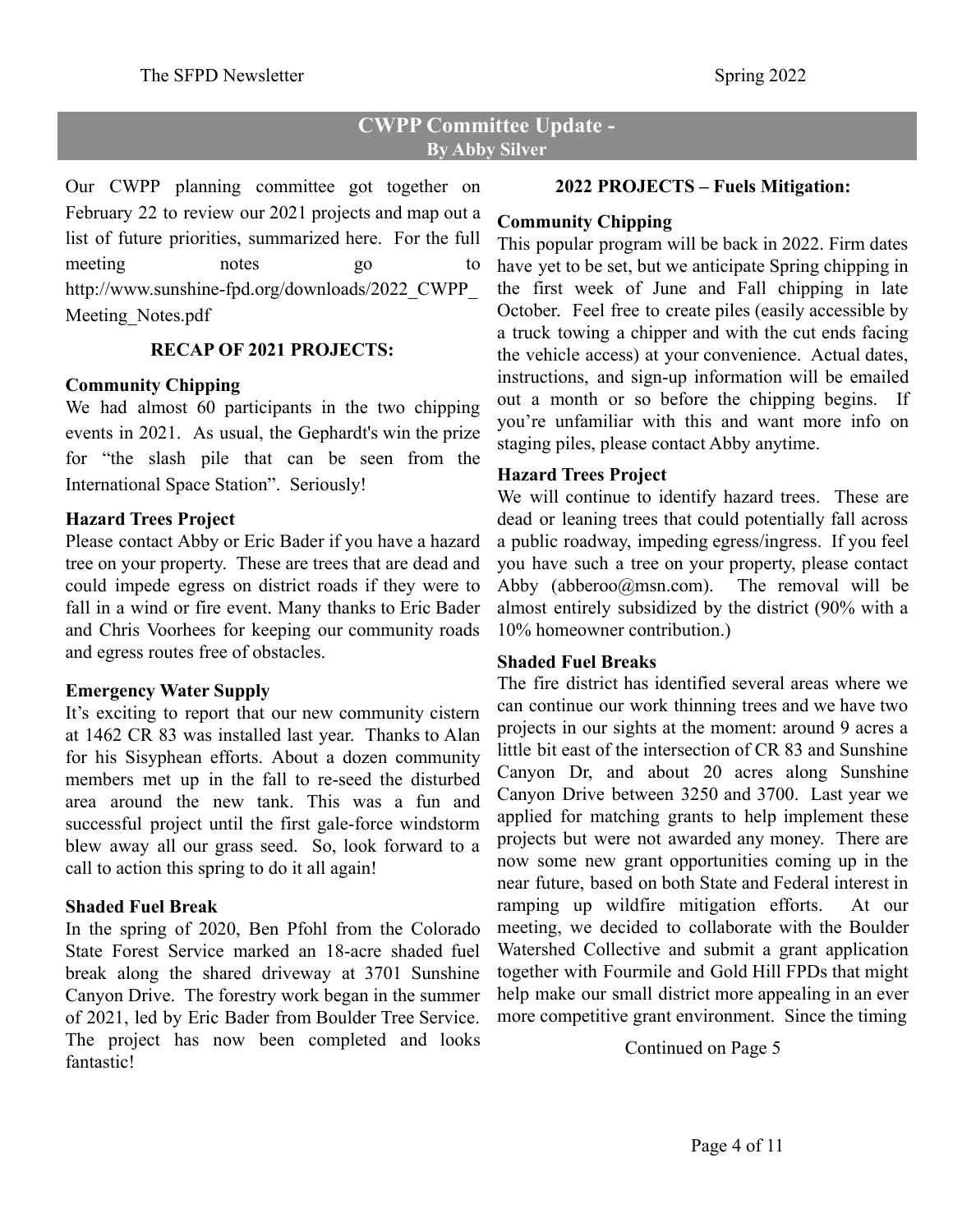## **CWPP Committee Update - By Abby Silver**

Our CWPP planning committee got together on February 22 to review our 2021 projects and map out a list of future priorities, summarized here. For the full meeting notes go to [http://www.sunshine-fpd.org/downloads/2022\\_CWPP\\_](http://www.sunshine-fpd.org/downloads/2022_CWPP_Meeting_Notes.pdf) Meeting Notes.pdf

#### **RECAP OF 2021 PROJECTS:**

#### **Community Chipping**

We had almost 60 participants in the two chipping events in 2021. As usual, the Gephardt's win the prize for "the slash pile that can be seen from the International Space Station". Seriously!

#### **Hazard Trees Project**

Please contact Abby or Eric Bader if you have a hazard tree on your property. These are trees that are dead and could impede egress on district roads if they were to fall in a wind or fire event. Many thanks to Eric Bader and Chris Voorhees for keeping our community roads and egress routes free of obstacles.

#### **Emergency Water Supply**

It's exciting to report that our new community cistern at 1462 CR 83 was installed last year. Thanks to Alan for his Sisyphean efforts. About a dozen community members met up in the fall to re-seed the disturbed area around the new tank. This was a fun and successful project until the first gale-force windstorm blew away all our grass seed. So, look forward to a call to action this spring to do it all again!

## **Shaded Fuel Break**

In the spring of 2020, Ben Pfohl from the Colorado State Forest Service marked an 18-acre shaded fuel break along the shared driveway at 3701 Sunshine Canyon Drive. The forestry work began in the summer of 2021, led by Eric Bader from Boulder Tree Service. The project has now been completed and looks fantastic!

#### **2022 PROJECTS – Fuels Mitigation:**

#### **Community Chipping**

This popular program will be back in 2022. Firm dates have yet to be set, but we anticipate Spring chipping in the first week of June and Fall chipping in late October. Feel free to create piles (easily accessible by a truck towing a chipper and with the cut ends facing the vehicle access) at your convenience. Actual dates, instructions, and sign-up information will be emailed out a month or so before the chipping begins. If you're unfamiliar with this and want more info on staging piles, please contact Abby anytime.

## **Hazard Trees Project**

We will continue to identify hazard trees. These are dead or leaning trees that could potentially fall across a public roadway, impeding egress/ingress. If you feel you have such a tree on your property, please contact Abby (abberoo@msn.com). The removal will be almost entirely subsidized by the district (90% with a 10% homeowner contribution.)

## **Shaded Fuel Breaks**

The fire district has identified several areas where we can continue our work thinning trees and we have two projects in our sights at the moment: around 9 acres a little bit east of the intersection of CR 83 and Sunshine Canyon Dr, and about 20 acres along Sunshine Canyon Drive between 3250 and 3700. Last year we applied for matching grants to help implement these projects but were not awarded any money. There are now some new grant opportunities coming up in the near future, based on both State and Federal interest in ramping up wildfire mitigation efforts. At our meeting, we decided to collaborate with the Boulder Watershed Collective and submit a grant application together with Fourmile and Gold Hill FPDs that might help make our small district more appealing in an ever more competitive grant environment. Since the timing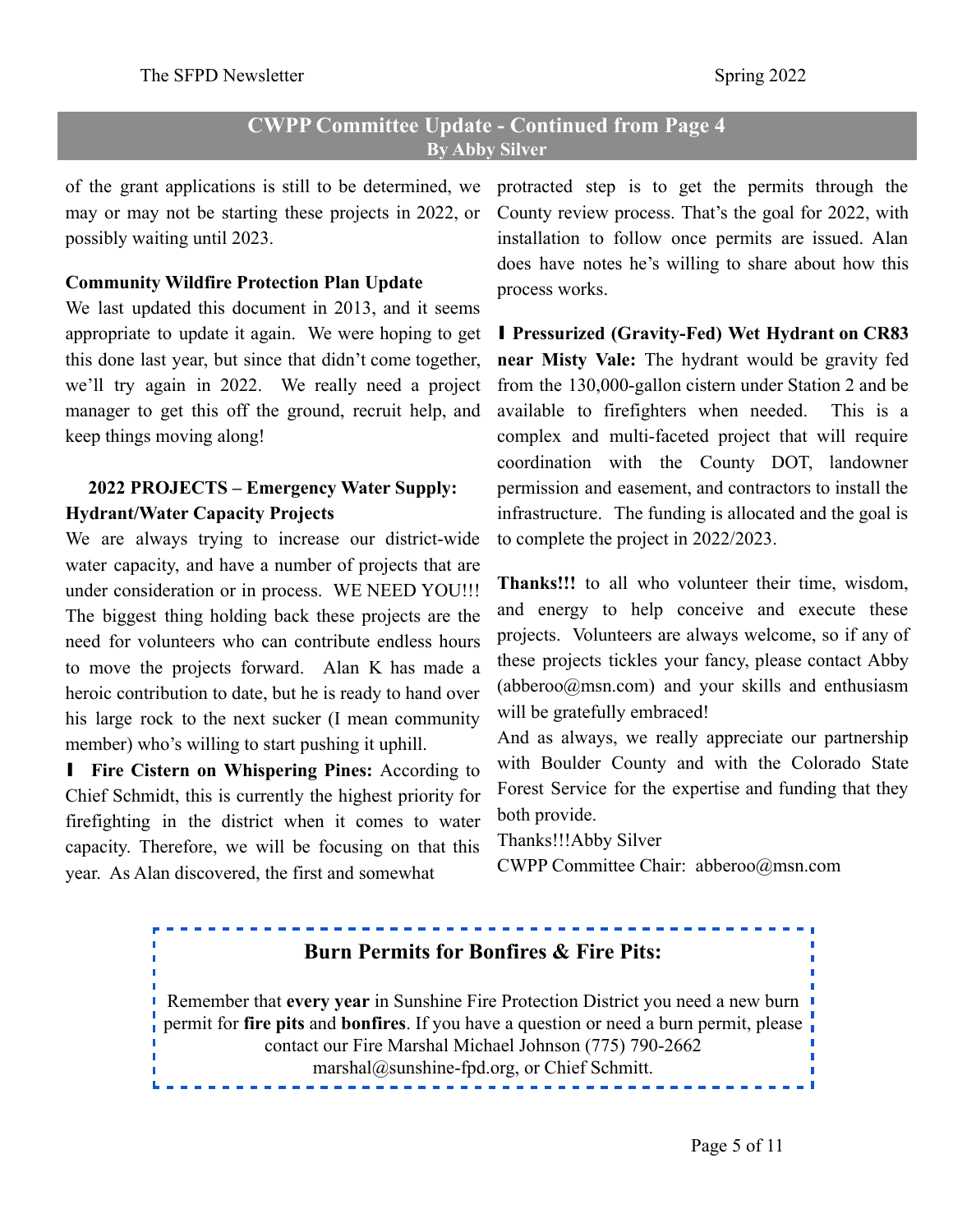## **CWPP Committee Update - Continued from Page 4 By Abby Silver**

of the grant applications is still to be determined, we may or may not be starting these projects in 2022, or possibly waiting until 2023.

#### **Community Wildfire Protection Plan Update**

We last updated this document in 2013, and it seems appropriate to update it again. We were hoping to get this done last year, but since that didn't come together, we'll try again in 2022. We really need a project manager to get this off the ground, recruit help, and keep things moving along!

## **2022 PROJECTS – Emergency Water Supply: Hydrant/Water Capacity Projects**

We are always trying to increase our district-wide water capacity, and have a number of projects that are under consideration or in process. WE NEED YOU!!! The biggest thing holding back these projects are the need for volunteers who can contribute endless hours to move the projects forward. Alan K has made a heroic contribution to date, but he is ready to hand over his large rock to the next sucker (I mean community member) who's willing to start pushing it uphill.

∎ **Fire Cistern on Whispering Pines:** According to Chief Schmidt, this is currently the highest priority for firefighting in the district when it comes to water capacity. Therefore, we will be focusing on that this year. As Alan discovered, the first and somewhat

protracted step is to get the permits through the County review process. That's the goal for 2022, with installation to follow once permits are issued. Alan does have notes he's willing to share about how this process works.

∎ **Pressurized (Gravity-Fed) Wet Hydrant on CR83 near Misty Vale:** The hydrant would be gravity fed from the 130,000-gallon cistern under Station 2 and be available to firefighters when needed. This is a complex and multi-faceted project that will require coordination with the County DOT, landowner permission and easement, and contractors to install the infrastructure. The funding is allocated and the goal is to complete the project in 2022/2023.

**Thanks!!!** to all who volunteer their time, wisdom, and energy to help conceive and execute these projects. Volunteers are always welcome, so if any of these projects tickles your fancy, please contact Abby (abberoo $@msn.com$ ) and your skills and enthusiasm will be gratefully embraced!

And as always, we really appreciate our partnership with Boulder County and with the Colorado State Forest Service for the expertise and funding that they both provide.

Thanks!!!Abby Silver

CWPP Committee Chair: abberoo@msn.com

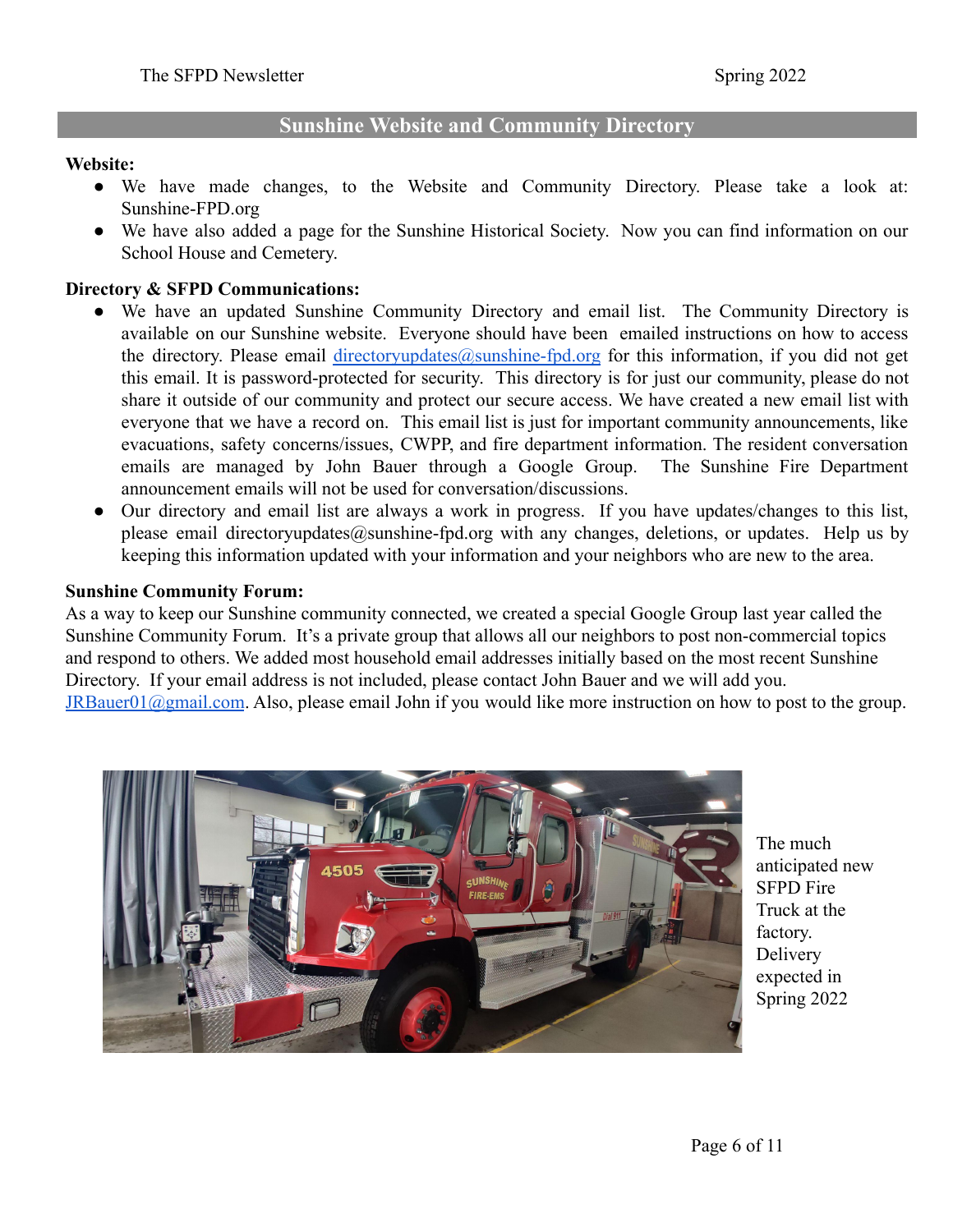## **Sunshine Website and Community Directory**

#### **Website:**

- We have made changes, to the Website and Community Directory. Please take a look at: [Sunshine-FPD.org](http://sunshine-fpd.org/)
- We have also added a page for the Sunshine Historical Society. Now you can find information on our School House and Cemetery.

#### **Directory & SFPD Communications:**

- We have an updated Sunshine Community Directory and email list. The Community Directory is available on our Sunshine website. Everyone should have been emailed instructions on how to access the directory. Please email [directoryupdates@sunshine-fpd.org](mailto:directoryupdates@sunshine-fpd.org) for this information, if you did not get this email. It is password-protected for security. This directory is for just our community, please do not share it outside of our community and protect our secure access. We have created a new email list with everyone that we have a record on. This email list is just for important community announcements, like evacuations, safety concerns/issues, CWPP, and fire department information. The resident conversation emails are managed by John Bauer through a Google Group. The Sunshine Fire Department announcement emails will not be used for conversation/discussions.
- Our directory and email list are always a work in progress. If you have updates/changes to this list, please email directoryupdates@sunshine-fpd.org with any changes, deletions, or updates. Help us by keeping this information updated with your information and your neighbors who are new to the area.

#### **Sunshine Community Forum:**

As a way to keep our Sunshine community connected, we created a special Google Group last year called the Sunshine Community Forum. It's a private group that allows all our neighbors to post non-commercial topics and respond to others. We added most household email addresses initially based on the most recent Sunshine Directory. If your email address is not included, please contact John Bauer and we will add you. [JRBauer01@gmail.com](mailto:JRBauer01@gmail.com). Also, please email John if you would like more instruction on how to post to the group.



The much anticipated new SFPD Fire Truck at the factory. Delivery expected in Spring 2022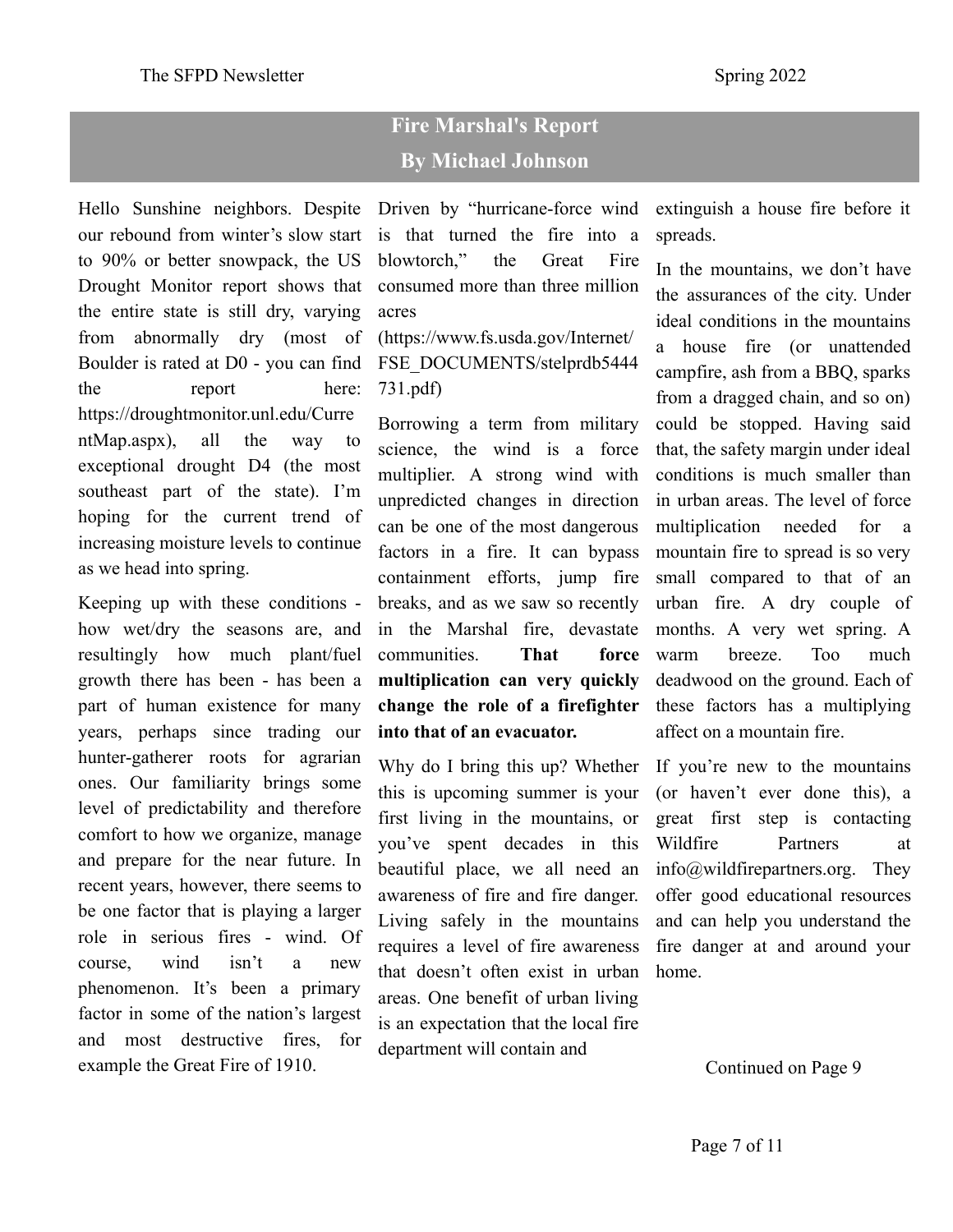# **Fire Marshal's Report By Michael Johnson**

Hello Sunshine neighbors. Despite our rebound from winter's slow start to 90% or better snowpack, the US Drought Monitor report shows that the entire state is still dry, varying from abnormally dry (most of Boulder is rated at D0 - you can find the report here: https://droughtmonitor.unl.edu/Curre ntMap.aspx), all the way to exceptional drought D4 (the most southeast part of the state). I'm hoping for the current trend of increasing moisture levels to continue as we head into spring.

Keeping up with these conditions how wet/dry the seasons are, and resultingly how much plant/fuel growth there has been - has been a part of human existence for many years, perhaps since trading our hunter-gatherer roots for agrarian ones. Our familiarity brings some level of predictability and therefore comfort to how we organize, manage and prepare for the near future. In recent years, however, there seems to be one factor that is playing a larger role in serious fires - wind. Of course, wind isn't a new phenomenon. It's been a primary factor in some of the nation's largest and most destructive fires, for example the Great Fire of 1910.

Driven by "hurricane-force wind is that turned the fire into a blowtorch," the Great Fire consumed more than three million acres

([https://www.fs.usda.gov/Internet/](https://www.fs.usda.gov/Internet/FSE_DOCUMENTS/stelprdb5444731.pdf) [FSE\\_DOCUMENTS/stelprdb5444](https://www.fs.usda.gov/Internet/FSE_DOCUMENTS/stelprdb5444731.pdf) [731.pdf\)](https://www.fs.usda.gov/Internet/FSE_DOCUMENTS/stelprdb5444731.pdf)

Borrowing a term from military science, the wind is a force multiplier. A strong wind with unpredicted changes in direction can be one of the most dangerous factors in a fire. It can bypass containment efforts, jump fire breaks, and as we saw so recently in the Marshal fire, devastate communities. **That force multiplication can very quickly change the role of a firefighter into that of an evacuator.**

Why do I bring this up? Whether this is upcoming summer is your first living in the mountains, or you've spent decades in this beautiful place, we all need an awareness of fire and fire danger. Living safely in the mountains requires a level of fire awareness that doesn't often exist in urban areas. One benefit of urban living is an expectation that the local fire department will contain and

extinguish a house fire before it spreads.

In the mountains, we don't have the assurances of the city. Under ideal conditions in the mountains a house fire (or unattended campfire, ash from a BBQ, sparks from a dragged chain, and so on) could be stopped. Having said that, the safety margin under ideal conditions is much smaller than in urban areas. The level of force multiplication needed for a mountain fire to spread is so very small compared to that of an urban fire. A dry couple of months. A very wet spring. A warm breeze. Too much deadwood on the ground. Each of these factors has a multiplying affect on a mountain fire.

If you're new to the mountains (or haven't ever done this), a great first step is contacting Wildfire Partners at info@wildfirepartners.org. They offer good educational resources and can help you understand the fire danger at and around your home.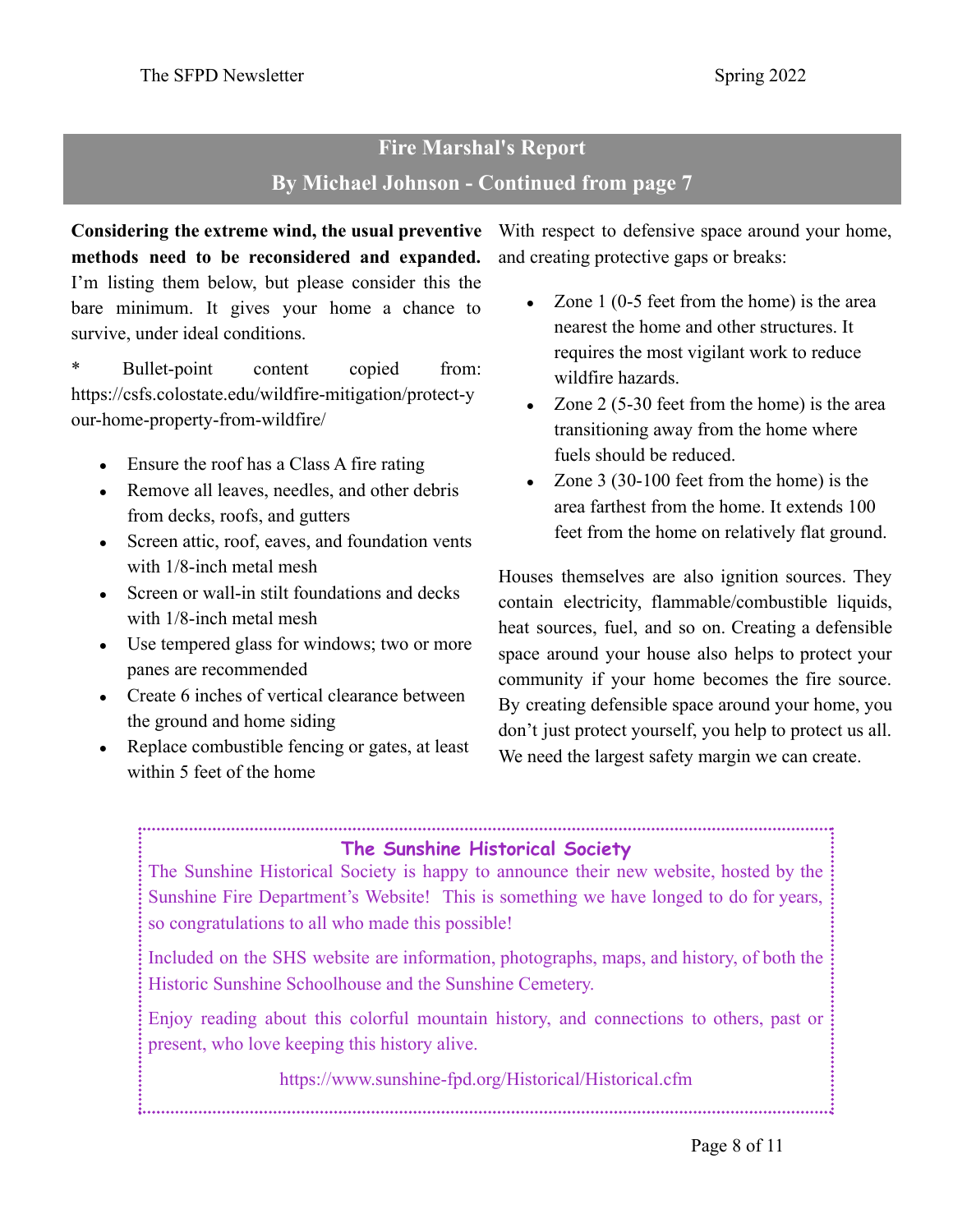# **Fire Marshal's Report By Michael Johnson - Continued from page 7**

**Considering the extreme wind, the usual preventive** With respect to defensive space around your home, **methods need to be reconsidered and expanded.** I'm listing them below, but please consider this the bare minimum. It gives your home a chance to survive, under ideal conditions.

\* Bullet-point content copied from: https://csfs.colostate.edu/wildfire-mitigation/protect-y our-home-property-from-wildfire/

- Ensure the roof has a Class A fire rating
- Remove all leaves, needles, and other debris from decks, roofs, and gutters
- Screen attic, roof, eaves, and foundation vents with 1/8-inch metal mesh
- Screen or wall-in stilt foundations and decks with 1/8-inch metal mesh
- Use tempered glass for windows; two or more panes are recommended
- Create 6 inches of vertical clearance between the ground and home siding
- Replace combustible fencing or gates, at least within 5 feet of the home

and creating protective gaps or breaks:

- $\bullet$  Zone 1 (0-5 feet from the home) is the area nearest the home and other structures. It requires the most vigilant work to reduce wildfire hazards.
- Zone  $2(5-30$  feet from the home) is the area transitioning away from the home where fuels should be reduced.
- $\bullet$  Zone 3 (30-100 feet from the home) is the area farthest from the home. It extends 100 feet from the home on relatively flat ground.

Houses themselves are also ignition sources. They contain electricity, flammable/combustible liquids, heat sources, fuel, and so on. Creating a defensible space around your house also helps to protect your community if your home becomes the fire source. By creating defensible space around your home, you don't just protect yourself, you help to protect us all. We need the largest safety margin we can create.

## **The Sunshine Historical Society**

The Sunshine Historical Society is happy to announce their new website, hosted by the Sunshine Fire Department's Website! This is something we have longed to do for years, so congratulations to all who made this possible!

Included on the SHS website are information, photographs, maps, and history, of both the Historic Sunshine Schoolhouse and the Sunshine Cemetery.

Enjoy reading about this colorful mountain history, and connections to others, past or present, who love keeping this history alive.

https://www.sunshine-fpd.org/Historical/Historical.cfm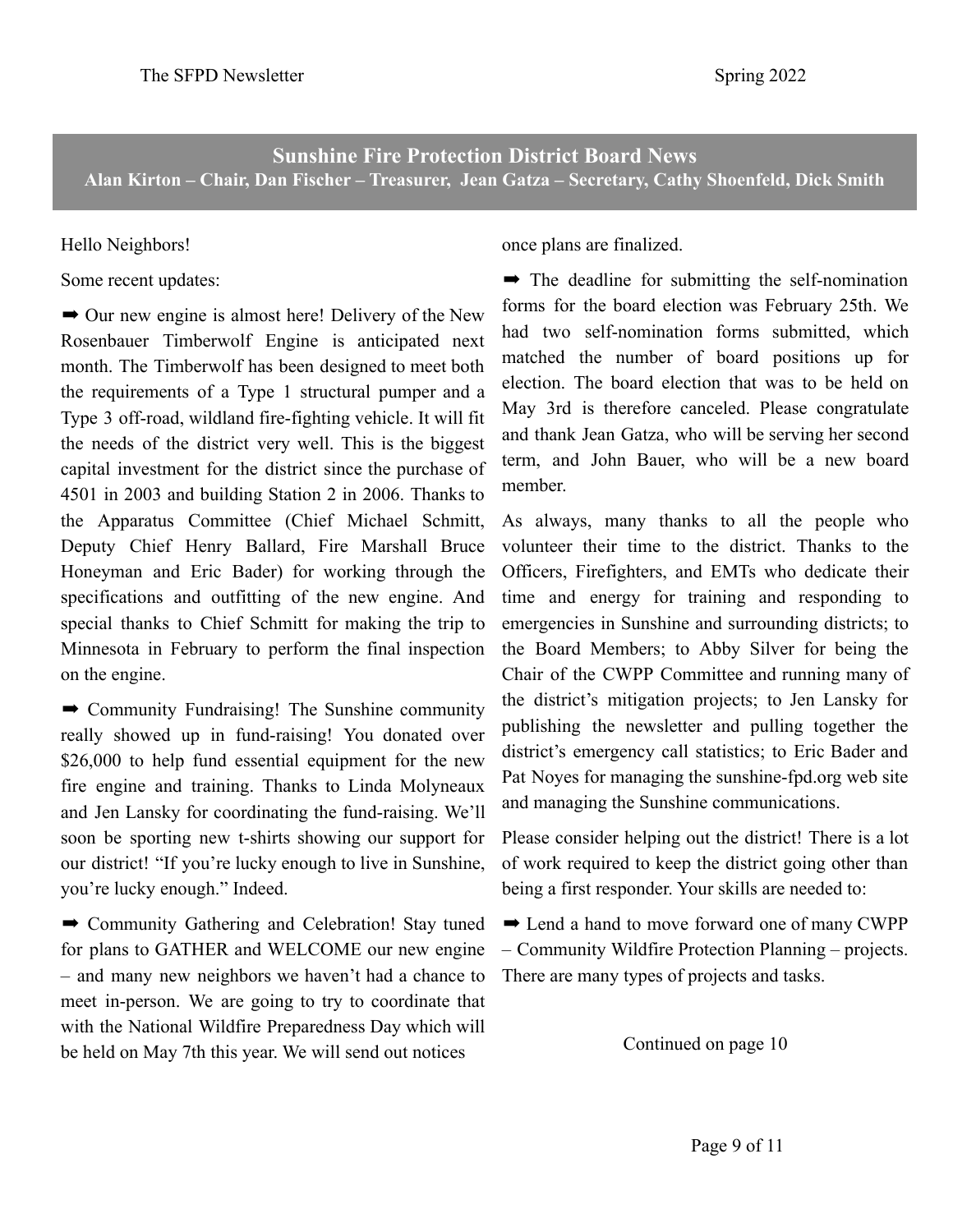**Sunshine Fire Protection District Board News Alan Kirton – Chair, Dan Fischer – Treasurer, Jean Gatza – Secretary, Cathy Shoenfeld, Dick Smith**

## Hello Neighbors!

Some recent updates:

**→** Our new engine is almost here! Delivery of the New Rosenbauer Timberwolf Engine is anticipated next month. The Timberwolf has been designed to meet both the requirements of a Type 1 structural pumper and a Type 3 off-road, wildland fire-fighting vehicle. It will fit the needs of the district very well. This is the biggest capital investment for the district since the purchase of 4501 in 2003 and building Station 2 in 2006. Thanks to the Apparatus Committee (Chief Michael Schmitt, Deputy Chief Henry Ballard, Fire Marshall Bruce Honeyman and Eric Bader) for working through the specifications and outfitting of the new engine. And special thanks to Chief Schmitt for making the trip to Minnesota in February to perform the final inspection on the engine.

 $\rightarrow$  Community Fundraising! The Sunshine community really showed up in fund-raising! You donated over \$26,000 to help fund essential equipment for the new fire engine and training. Thanks to Linda Molyneaux and Jen Lansky for coordinating the fund-raising. We'll soon be sporting new t-shirts showing our support for our district! "If you're lucky enough to live in Sunshine, you're lucky enough." Indeed.

 $\rightarrow$  Community Gathering and Celebration! Stay tuned for plans to GATHER and WELCOME our new engine – and many new neighbors we haven't had a chance to meet in-person. We are going to try to coordinate that with the National Wildfire Preparedness Day which will be held on May 7th this year. We will send out notices

once plans are finalized.

 $\rightarrow$  The deadline for submitting the self-nomination forms for the board election was February 25th. We had two self-nomination forms submitted, which matched the number of board positions up for election. The board election that was to be held on May 3rd is therefore canceled. Please congratulate and thank Jean Gatza, who will be serving her second term, and John Bauer, who will be a new board member.

As always, many thanks to all the people who volunteer their time to the district. Thanks to the Officers, Firefighters, and EMTs who dedicate their time and energy for training and responding to emergencies in Sunshine and surrounding districts; to the Board Members; to Abby Silver for being the Chair of the CWPP Committee and running many of the district's mitigation projects; to Jen Lansky for publishing the newsletter and pulling together the district's emergency call statistics; to Eric Bader and Pat Noyes for managing the sunshine-fpd.org web site and managing the Sunshine communications.

Please consider helping out the district! There is a lot of work required to keep the district going other than being a first responder. Your skills are needed to:

➡ Lend a hand to move forward one of many CWPP – Community Wildfire Protection Planning – projects. There are many types of projects and tasks.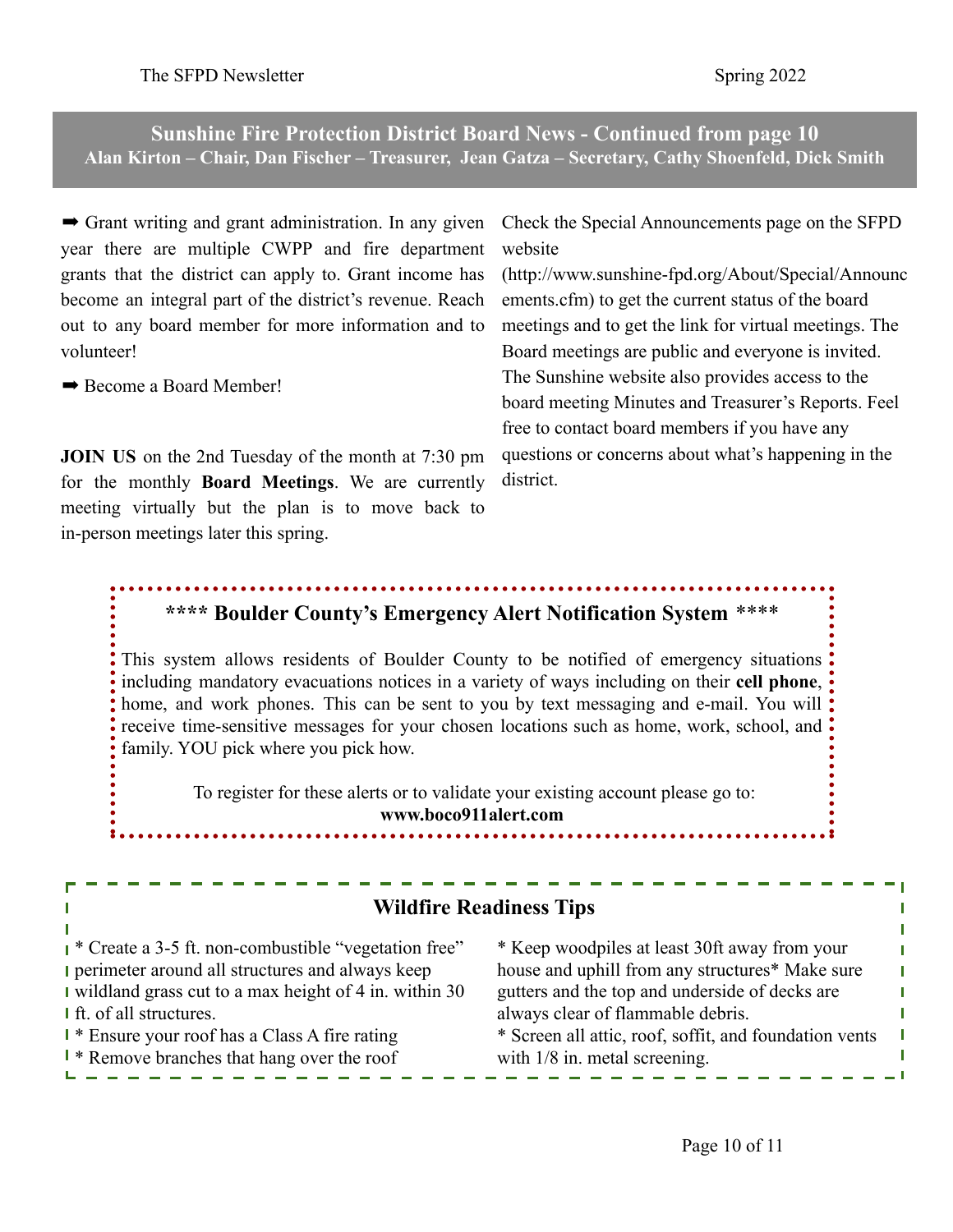**Sunshine Fire Protection District Board News - Continued from page 10 Alan Kirton – Chair, Dan Fischer – Treasurer, Jean Gatza – Secretary, Cathy Shoenfeld, Dick Smith**

 $\rightarrow$  Grant writing and grant administration. In any given year there are multiple CWPP and fire department grants that the district can apply to. Grant income has become an integral part of the district's revenue. Reach out to any board member for more information and to volunteer!

 $\rightarrow$  **Become a Board Member!** 

**JOIN US** on the 2nd Tuesday of the month at 7:30 pm for the monthly **Board Meetings**. We are currently meeting virtually but the plan is to move back to in-person meetings later this spring.

Check the Special Announcements page on the SFPD website

[\(http://www.sunshine-fpd.org/About/Special/Announc](http://www.sunshine-fpd.org/About/Special/Announcements.cfm) [ements.cfm](http://www.sunshine-fpd.org/About/Special/Announcements.cfm)) to get the current status of the board meetings and to get the link for virtual meetings. The Board meetings are public and everyone is invited. The Sunshine website also provides access to the board meeting Minutes and Treasurer's Reports. Feel free to contact board members if you have any questions or concerns about what's happening in the district.

## **\*\*\*\* Boulder County's Emergency Alert Notification System** \*\*\*\*

This system allows residents of Boulder County to be notified of emergency situations including mandatory evacuations notices in a variety of ways including on their **cell phone**, home, and work phones. This can be sent to you by text messaging and e-mail. You will receive time-sensitive messages for your chosen locations such as home, work, school, and family. YOU pick where you pick how.

To register for these alerts or to validate your existing account please go to: **[www.boco911alert.com](http://www.boco911alert.com/)**